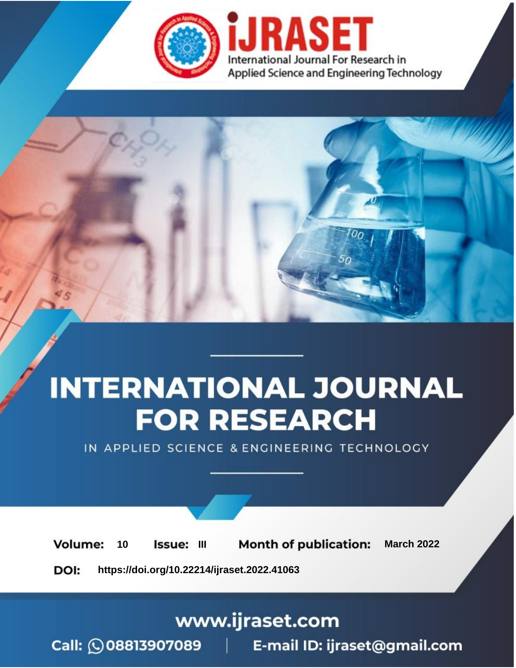

# **INTERNATIONAL JOURNAL FOR RESEARCH**

IN APPLIED SCIENCE & ENGINEERING TECHNOLOGY

10 **Issue: III Month of publication:** March 2022 **Volume:** 

**https://doi.org/10.22214/ijraset.2022.41063**DOI:

www.ijraset.com

Call: 008813907089 | E-mail ID: ijraset@gmail.com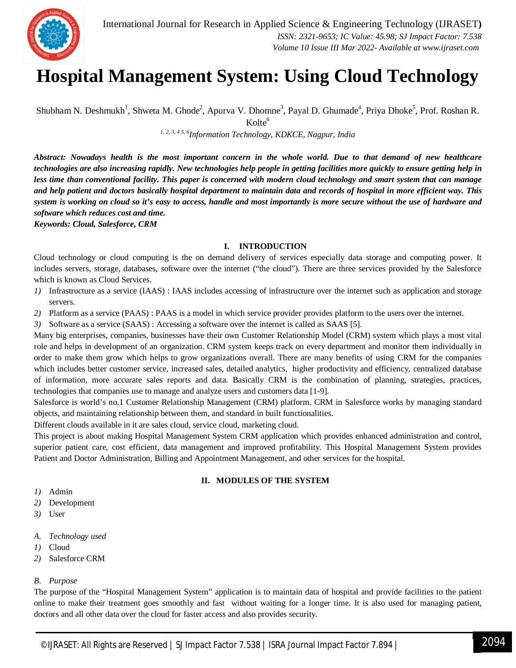

### **Hospital Management System: Using Cloud Technology**

Shubham N. Deshmukh<sup>1</sup>, Shweta M. Ghode<sup>2</sup>, Apurva V. Dhomne<sup>3</sup>, Payal D. Ghumade<sup>4</sup>, Priya Dhoke<sup>5</sup>, Prof. Roshan R.  $Kolte<sup>6</sup>$ 

*1, 2, 3, 4 5, 6Information Technology, KDKCE, Nagpur, India*

*Abstract: Nowadays health is the most important concern in the whole world. Due to that demand of new healthcare technologies are also increasing rapidly. New technologies help people in getting facilities more quickly to ensure getting help in less time than conventional facility. This paper is concerned with modern cloud technology and smart system that can manage and help patient and doctors basically hospital department to maintain data and records of hospital in more efficient way. This system is working on cloud so it's easy to access, handle and most importantly is more secure without the use of hardware and software which reduces cost and time.*

*Keywords: Cloud, Salesforce, CRM*

#### **I. INTRODUCTION**

Cloud technology or cloud computing is the on demand delivery of services especially data storage and computing power. It includes servers, storage, databases, software over the internet ("the cloud"). There are three services provided by the Salesforce which is known as Cloud Services.

- *1)* Infrastructure as a service (IAAS) : IAAS includes accessing of infrastructure over the internet such as application and storage servers.
- *2)* Platform as a service (PAAS) : PAAS is a model in which service provider provides platform to the users over the internet.
- *3)* Software as a service (SAAS) : Accessing a software over the internet is called as SAAS [5].

Many big enterprises, companies, businesses have their own Customer Relationship Model (CRM) system which plays a most vital role and helps in development of an organization. CRM system keeps track on every department and monitor them individually in order to make them grow which helps to grow organizations overall. There are many benefits of using CRM for the companies which includes better customer service, increased sales, detailed analytics, higher productivity and efficiency, centralized database of information, more accurate sales reports and data. Basically CRM is the combination of planning, strategies, practices, technologies that companies use to manage and analyze users and customers data [1-9].

Salesforce is world's no.1 Customer Relationship Management (CRM) platform. CRM in Salesforce works by managing standard objects, and maintaining relationship between them, and standard in built functionalities.

Different clouds available in it are sales cloud, service cloud, marketing cloud.

This project is about making Hospital Management System CRM application which provides enhanced administration and control, superior patient care, cost efficient, data management and improved profitability. This Hospital Management System provides Patient and Doctor Administration, Billing and Appointment Management, and other services for the hospital.

#### **II. MODULES OF THE SYSTEM**

- *1)* Admin
- *2)* Development
- *3)* User
- *A. Technology used*
- *1)* Cloud
- *2)* Salesforce CRM

#### *B. Purpose*

The purpose of the "Hospital Management System" application is to maintain data of hospital and provide facilities to the patient online to make their treatment goes smoothly and fast without waiting for a longer time. It is also used for managing patient, doctors and all other data over the cloud for faster access and also provides security.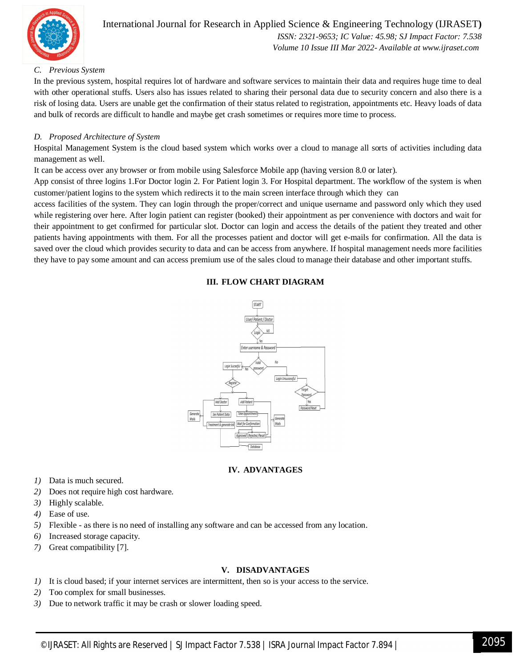

#### International Journal for Research in Applied Science & Engineering Technology (IJRASET**)**  *ISSN: 2321-9653; IC Value: 45.98; SJ Impact Factor: 7.538*

 *Volume 10 Issue III Mar 2022- Available at www.ijraset.com*

#### *C. Previous System*

In the previous system, hospital requires lot of hardware and software services to maintain their data and requires huge time to deal with other operational stuffs. Users also has issues related to sharing their personal data due to security concern and also there is a risk of losing data. Users are unable get the confirmation of their status related to registration, appointments etc. Heavy loads of data and bulk of records are difficult to handle and maybe get crash sometimes or requires more time to process.

#### *D. Proposed Architecture of System*

Hospital Management System is the cloud based system which works over a cloud to manage all sorts of activities including data management as well.

It can be access over any browser or from mobile using Salesforce Mobile app (having version 8.0 or later).

App consist of three logins 1.For Doctor login 2. For Patient login 3. For Hospital department. The workflow of the system is when customer/patient logins to the system which redirects it to the main screen interface through which they can

access facilities of the system. They can login through the proper/correct and unique username and password only which they used while registering over here. After login patient can register (booked) their appointment as per convenience with doctors and wait for their appointment to get confirmed for particular slot. Doctor can login and access the details of the patient they treated and other patients having appointments with them. For all the processes patient and doctor will get e-mails for confirmation. All the data is saved over the cloud which provides security to data and can be access from anywhere. If hospital management needs more facilities they have to pay some amount and can access premium use of the sales cloud to manage their database and other important stuffs.

#### **III. FLOW CHART DIAGRAM**



#### **IV. ADVANTAGES**

- *1)* Data is much secured.
- *2)* Does not require high cost hardware.
- *3)* Highly scalable.
- *4)* Ease of use.
- *5)* Flexible as there is no need of installing any software and can be accessed from any location.
- *6)* Increased storage capacity.
- *7)* Great compatibility [7].

#### **V. DISADVANTAGES**

- *1)* It is cloud based; if your internet services are intermittent, then so is your access to the service.
- *2)* Too complex for small businesses.
- *3)* Due to network traffic it may be crash or slower loading speed.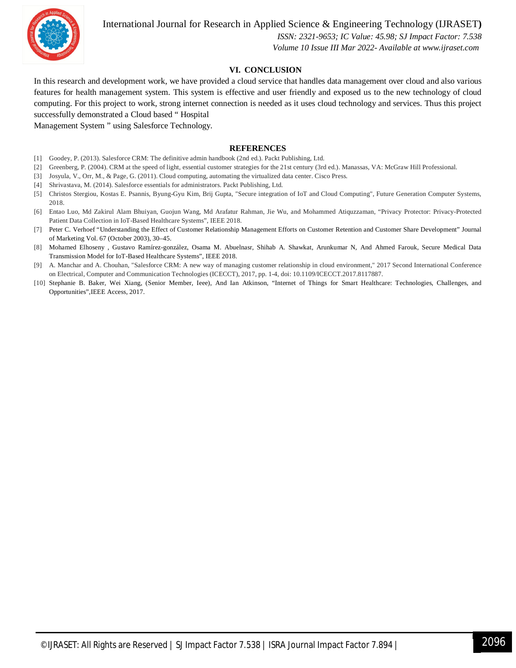

International Journal for Research in Applied Science & Engineering Technology (IJRASET**)**

 *ISSN: 2321-9653; IC Value: 45.98; SJ Impact Factor: 7.538 Volume 10 Issue III Mar 2022- Available at www.ijraset.com*

#### **VI. CONCLUSION**

In this research and development work, we have provided a cloud service that handles data management over cloud and also various features for health management system. This system is effective and user friendly and exposed us to the new technology of cloud computing. For this project to work, strong internet connection is needed as it uses cloud technology and services. Thus this project successfully demonstrated a Cloud based " Hospital

Management System " using Salesforce Technology.

#### **REFERENCES**

- [1] Goodey, P. (2013). Salesforce CRM: The definitive admin handbook (2nd ed.). Packt Publishing, Ltd.
- [2] Greenberg, P. (2004). CRM at the speed of light, essential customer strategies for the 21st century (3rd ed.). Manassas, VA: McGraw Hill Professional.
- [3] Josyula, V., Orr, M., & Page, G. (2011). Cloud computing, automating the virtualized data center. Cisco Press.
- [4] Shrivastava, M. (2014). Salesforce essentials for administrators. Packt Publishing, Ltd.
- [5] Christos Stergiou, Kostas E. Psannis, Byung-Gyu Kim, Brij Gupta, "Secure integration of IoT and Cloud Computing", Future Generation Computer Systems, 2018.
- [6] Entao Luo, Md Zakirul Alam Bhuiyan, Guojun Wang, Md Arafatur Rahman, Jie Wu, and Mohammed Atiquzzaman, "Privacy Protector: Privacy-Protected Patient Data Collection in IoT-Based Healthcare Systems", IEEE 2018.
- [7] Peter C. Verhoef "Understanding the Effect of Customer Relationship Management Efforts on Customer Retention and Customer Share Development" Journal of Marketing Vol. 67 (October 2003), 30–45.
- [8] Mohamed Elhoseny , Gustavo Ramírez-gonzález, Osama M. Abuelnasr, Shihab A. Shawkat, Arunkumar N, And Ahmed Farouk, Secure Medical Data Transmission Model for IoT-Based Healthcare Systems", IEEE 2018.
- [9] A. Manchar and A. Chouhan, "Salesforce CRM: A new way of managing customer relationship in cloud environment," 2017 Second International Conference on Electrical, Computer and Communication Technologies (ICECCT), 2017, pp. 1-4, doi: 10.1109/ICECCT.2017.8117887.
- [10] Stephanie B. Baker, Wei Xiang, (Senior Member, Ieee), And Ian Atkinson, "Internet of Things for Smart Healthcare: Technologies, Challenges, and Opportunities",IEEE Access, 2017.